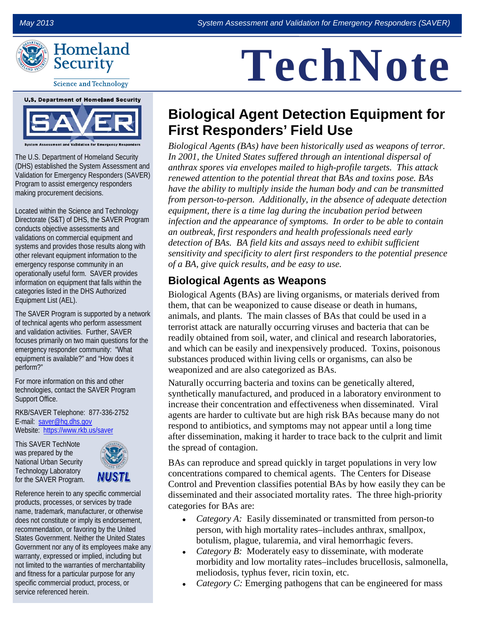

**Science and Technology** 



The U.S. Department of Homeland Security (DHS) established the System Assessment and Validation for Emergency Responders (SAVER) Program to assist emergency responders making procurement decisions.

Located within the Science and Technology Directorate (S&T) of DHS, the SAVER Program conducts objective assessments and validations on commercial equipment and systems and provides those results along with other relevant equipment information to the emergency response community in an operationally useful form. SAVER provides information on equipment that falls within the categories listed in the DHS Authorized Equipment List (AEL).

The SAVER Program is supported by a network of technical agents who perform assessment and validation activities. Further, SAVER focuses primarily on two main questions for the emergency responder community: "What equipment is available?" and "How does it perform?"

For more information on this and other technologies, contact the SAVER Program Support Office.

RKB/SAVER Telephone: 877-336-2752 E-mail: [saver@hq.dhs.gov](mailto:saver@hq.dhs.gov) Website: <https://www.rkb.us/saver>

This SAVER TechNote was prepared by the National Urban Security Technology Laboratory for the SAVER Program.



Reference herein to any specific commercial products, processes, or services by trade name, trademark, manufacturer, or otherwise does not constitute or imply its endorsement, recommendation, or favoring by the United States Government. Neither the United States Government nor any of its employees make any warranty, expressed or implied, including but not limited to the warranties of merchantability and fitness for a particular purpose for any specific commercial product, process, or service referenced herein.

# **TechNote**

## **Biological Agent Detection Equipment for First Responders' Field Use**

*Biological Agents (BAs) have been historically used as weapons of terror. In 2001, the United States suffered through an intentional dispersal of anthrax spores via envelopes mailed to high-profile targets. This attack renewed attention to the potential threat that BAs and toxins pose. BAs have the ability to multiply inside the human body and can be transmitted from person-to-person. Additionally, in the absence of adequate detection equipment, there is a time lag during the incubation period between infection and the appearance of symptoms. In order to be able to contain an outbreak, first responders and health professionals need early detection of BAs. BA field kits and assays need to exhibit sufficient sensitivity and specificity to alert first responders to the potential presence of a BA, give quick results, and be easy to use.* 

### **Biological Agents as Weapons**

Biological Agents (BAs) are living organisms, or materials derived from them, that can be weaponized to cause disease or death in humans, animals, and plants. The main classes of BAs that could be used in a terrorist attack are naturally occurring viruses and bacteria that can be readily obtained from soil, water, and clinical and research laboratories, and which can be easily and inexpensively produced. Toxins, poisonous substances produced within living cells or organisms, can also be weaponized and are also categorized as BAs.

Naturally occurring bacteria and toxins can be genetically altered, synthetically manufactured, and produced in a laboratory environment to increase their concentration and effectiveness when disseminated. Viral agents are harder to cultivate but are high risk BAs because many do not respond to antibiotics, and symptoms may not appear until a long time after dissemination, making it harder to trace back to the culprit and limit the spread of contagion.

BAs can reproduce and spread quickly in target populations in very low concentrations compared to chemical agents. The Centers for Disease Control and Prevention classifies potential BAs by how easily they can be disseminated and their associated mortality rates. The three high-priority categories for BAs are:

- *Category A:* Easily disseminated or transmitted from person-to person, with high mortality rates–includes anthrax, smallpox, botulism, plague, tularemia, and viral hemorrhagic fevers.
- *Category B:* Moderately easy to disseminate, with moderate morbidity and low mortality rates–includes brucellosis, salmonella, meliodosis, typhus fever, ricin toxin, etc.
- *Category C:* Emerging pathogens that can be engineered for mass